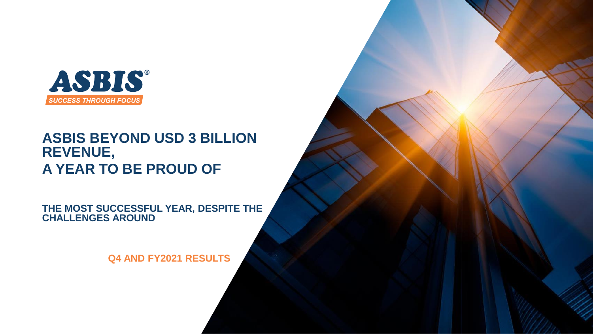

#### **ASBIS BEYOND USD 3 BILLION REVENUE, A YEAR TO BE PROUD OF**

**THE MOST SUCCESSFUL YEAR, DESPITE THE CHALLENGES AROUND**

**Q4 AND FY2021 RESULTS**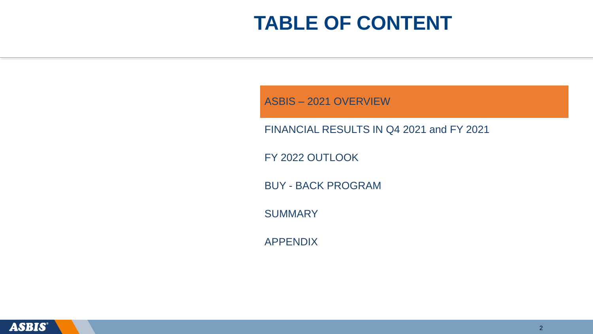ASBIS – 2021 OVERVIEW

FINANCIAL RESULTS IN Q4 2021 and FY 2021

FY 2022 OUTLOOK

BUY - BACK PROGRAM

**SUMMARY** 

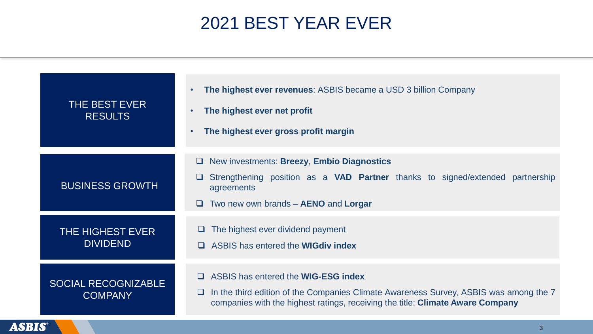## 2021 BEST YEAR EVER

| THE BEST EVER<br><b>RESULTS</b>              | <b>The highest ever revenues: ASBIS became a USD 3 billion Company</b><br>The highest ever net profit<br>The highest ever gross profit margin                                                                         |
|----------------------------------------------|-----------------------------------------------------------------------------------------------------------------------------------------------------------------------------------------------------------------------|
| <b>BUSINESS GROWTH</b>                       | New investments: Breezy, Embio Diagnostics<br>u.<br>Strengthening position as a VAD Partner thanks to signed/extended partnership<br>agreements<br>Two new own brands – AENO and Lorgar<br>$\Box$                     |
| <b>THE HIGHEST EVER</b><br><b>DIVIDEND</b>   | The highest ever dividend payment<br>ASBIS has entered the <b>WIGdiv index</b>                                                                                                                                        |
| <b>SOCIAL RECOGNIZABLE</b><br><b>COMPANY</b> | ASBIS has entered the <b>WIG-ESG index</b><br>In the third edition of the Companies Climate Awareness Survey, ASBIS was among the 7<br>companies with the highest ratings, receiving the title: Climate Aware Company |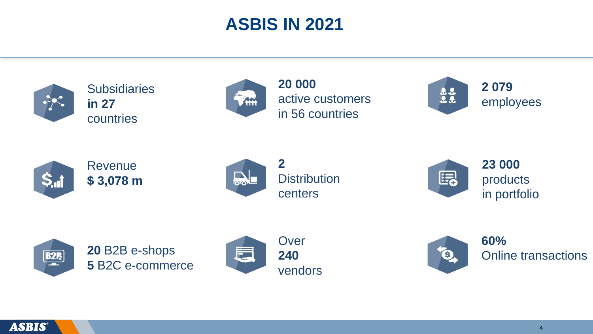#### **ASBIS IN 2021**



**Subsidiaries in 27** countries



**20 000** active customers in 56 countries





Revenue **\$ 3,078 m**



**Distribution** centers



**23 000**  products in portfolio







**60%** Online transactions

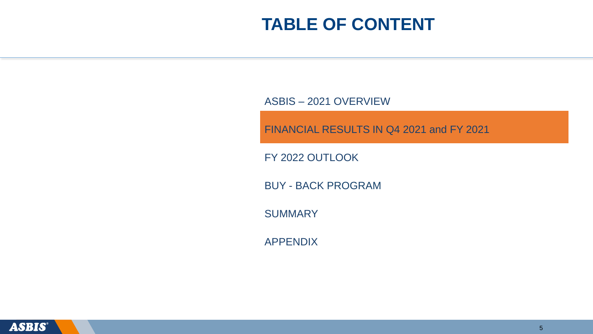ASBIS – 2021 OVERVIEW

FINANCIAL RESULTS IN Q4 2021 and FY 2021

FY 2022 OUTLOOK

BUY - BACK PROGRAM

**SUMMARY** 

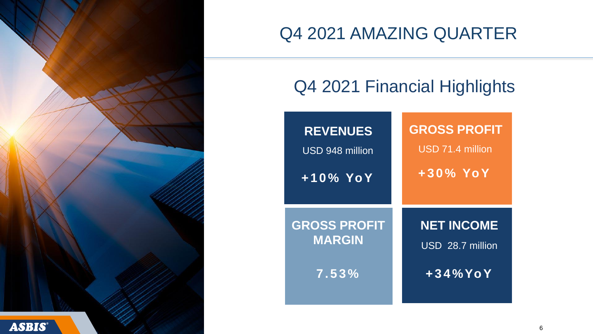

### Q4 2021 AMAZING QUARTER

#### Q4 2021 Financial Highlights

| <b>REVENUES</b>     | <b>GROSS PROFIT</b> |
|---------------------|---------------------|
| USD 948 million     | USD 71.4 million    |
| $+10\%$ YoY         | $+30\%$ YoY         |
| <b>GROSS PROFIT</b> | <b>NET INCOME</b>   |
| <b>MARGIN</b>       | USD 28.7 million    |
| 7.53%               | $+34\%$ YoY         |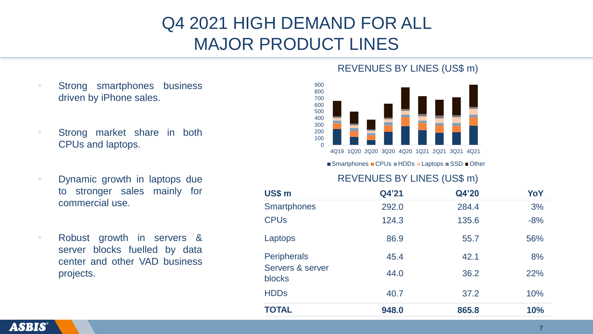# Q4 2021 HIGH DEMAND FOR ALL MAJOR PRODUCT LINES

- Strong smartphones business driven by iPhone sales.
- Strong market share in both CPUs and laptops.
- Dynamic growth in laptops due to stronger sales mainly for commercial use.
- Robust growth in servers & server blocks fuelled by data center and other VAD business projects.

#### REVENUES BY LINES (US\$ m)



 $\blacksquare$  Smartphones  $\blacksquare$  CPUs  $\blacksquare$  HDDs  $\blacksquare$  Laptops  $\blacksquare$  SSD  $\blacksquare$  Other

#### REVENUES BY LINES (US\$ m)

| US\$ m                            | Q4'21 | Q4'20 | YoY   |
|-----------------------------------|-------|-------|-------|
| <b>Smartphones</b>                | 292.0 | 284.4 | 3%    |
| <b>CPU<sub>s</sub></b>            | 124.3 | 135.6 | $-8%$ |
| Laptops                           | 86.9  | 55.7  | 56%   |
| <b>Peripherals</b>                | 45.4  | 42.1  | 8%    |
| Servers & server<br><b>blocks</b> | 44.0  | 36.2  | 22%   |
| <b>HDDs</b>                       | 40.7  | 37.2  | 10%   |
| <b>TOTAL</b>                      | 948.0 | 865.8 | 10%   |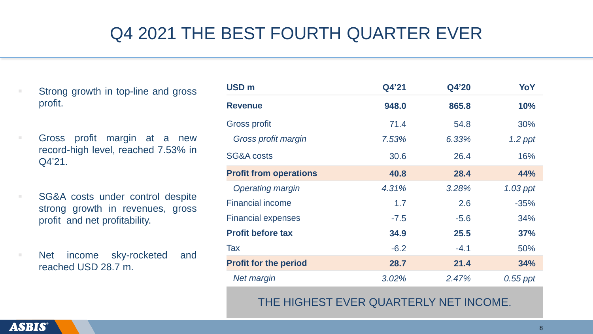# Q4 2021 THE BEST FOURTH QUARTER EVER

Strong growth in top-line and gross profit.

**Example 1 Gross profit margin at a new** record-high level, reached 7.53% in Q4'21.

■ SG&A costs under control despite strong growth in revenues, gross profit and net profitability.

■ Net income sky-rocketed and reached USD 28.7 m.

| USD <sub>m</sub>                       | Q4'21  | Q4'20  | YoY        |
|----------------------------------------|--------|--------|------------|
| <b>Revenue</b>                         | 948.0  | 865.8  | <b>10%</b> |
| <b>Gross profit</b>                    | 71.4   | 54.8   | 30%        |
| Gross profit margin                    | 7.53%  | 6.33%  | $1.2$ ppt  |
| <b>SG&amp;A costs</b>                  | 30.6   | 26.4   | 16%        |
| <b>Profit from operations</b>          | 40.8   | 28.4   | 44%        |
| <b>Operating margin</b>                | 4.31%  | 3.28%  | $1.03$ ppt |
| <b>Financial income</b>                | 1.7    | 2.6    | $-35%$     |
| <b>Financial expenses</b>              | $-7.5$ | $-5.6$ | 34%        |
| <b>Profit before tax</b>               | 34.9   | 25.5   | 37%        |
| Tax                                    | $-6.2$ | $-4.1$ | 50%        |
| <b>Profit for the period</b>           | 28.7   | 21.4   | 34%        |
| <b>Net margin</b>                      | 3.02%  | 2.47%  | $0.55$ ppt |
| THE HIGHEST EVER QUARTERLY NET INCOME. |        |        |            |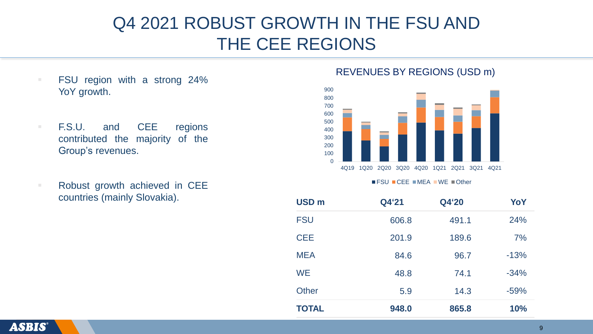## Q4 2021 ROBUST GROWTH IN THE FSU AND THE CEE REGIONS

- FSU region with a strong 24% YoY growth.
- F.S.U. and CEE regions contributed the majority of the Group's revenues.
- Robust growth achieved in CEE  $r$  countries (mainly Slovakia).

#### REVENUES BY REGIONS (USD m)



 $\blacksquare$  FSU  $\blacksquare$  CEE  $\blacksquare$  MEA  $\blacksquare$  WE  $\blacksquare$  Other

| <b>USD</b> m | Q4'21 | Q4'20 | YoY        |
|--------------|-------|-------|------------|
| <b>FSU</b>   | 606.8 | 491.1 | 24%        |
| <b>CEE</b>   | 201.9 | 189.6 | 7%         |
| <b>MEA</b>   | 84.6  | 96.7  | $-13%$     |
| <b>WE</b>    | 48.8  | 74.1  | $-34%$     |
| <b>Other</b> | 5.9   | 14.3  | $-59%$     |
| <b>TOTAL</b> | 948.0 | 865.8 | <b>10%</b> |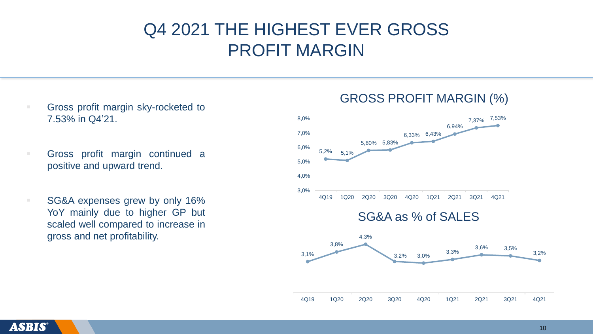#### Q4 2021 THE HIGHEST EVER GROSS PROFIT MARGIN

- Gross profit margin sky-rocketed to 7.53% in Q4'21.
- Gross profit margin continued a positive and upward trend.
- SG&A expenses grew by only 16% YoY mainly due to higher GP but scaled well compared to increase in gross and net profitability.



#### GROSS PROFIT MARGIN (%)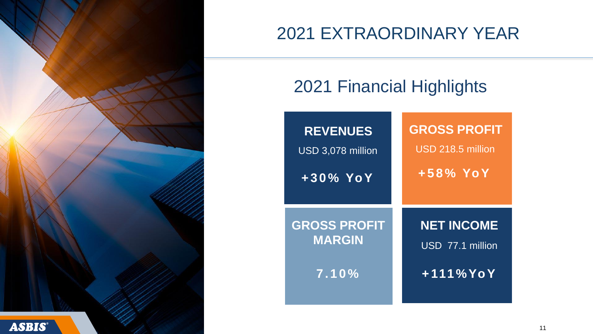

# 2021 EXTRAORDINARY YEAR

# 2021 Financial Highlights

| <b>REVENUES</b>     | <b>GROSS PROFIT</b> |
|---------------------|---------------------|
| USD 3,078 million   | USD 218.5 million   |
| $+30\%$ YoY         | $+58\%$ YoY         |
| <b>GROSS PROFIT</b> | <b>NET INCOME</b>   |
| <b>MARGIN</b>       | USD 77.1 million    |
| 7.10%               | $+111\%$ YoY        |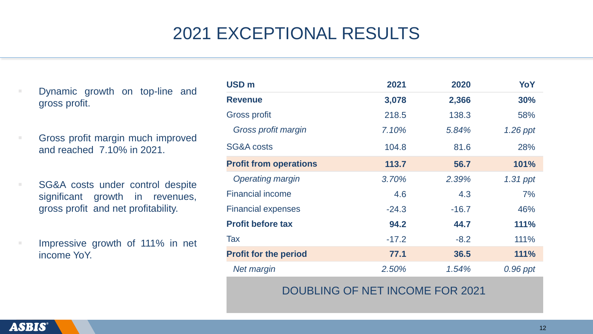# 2021 EXCEPTIONAL RESULTS

- Dynamic growth on top-line and gross profit.
- Gross profit margin much improved and reached 7.10% in 2021.
- SG&A costs under control despite significant growth in revenues, gross profit and net profitability.
- Impressive growth of 111% in net income YoY.

| <b>USD</b> m                  | 2021    | 2020    | YoY         |
|-------------------------------|---------|---------|-------------|
| <b>Revenue</b>                | 3,078   | 2,366   | 30%         |
| <b>Gross profit</b>           | 218.5   | 138.3   | 58%         |
| Gross profit margin           | 7.10%   | 5.84%   | 1.26 ppt    |
| SG&A costs                    | 104.8   | 81.6    | 28%         |
| <b>Profit from operations</b> | 113.7   | 56.7    | 101%        |
| <b>Operating margin</b>       | 3.70%   | 2.39%   | $1.31$ ppt  |
| <b>Financial income</b>       | 4.6     | 4.3     | 7%          |
| <b>Financial expenses</b>     | $-24.3$ | $-16.7$ | 46%         |
| <b>Profit before tax</b>      | 94.2    | 44.7    | <b>111%</b> |
| Tax                           | $-17.2$ | $-8.2$  | 111%        |
| <b>Profit for the period</b>  | 77.1    | 36.5    | 111%        |
| <b>Net margin</b>             | 2.50%   | 1.54%   | 0.96 ppt    |

#### DOUBLING OF NET INCOME FOR 2021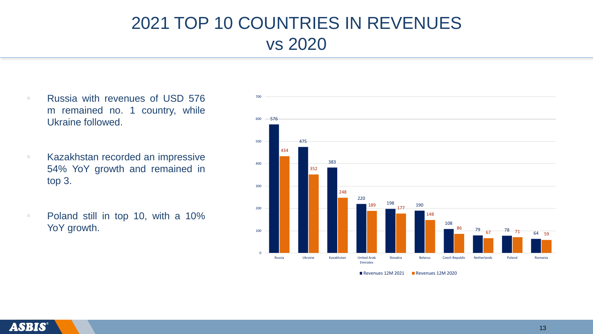## 2021 TOP 10 COUNTRIES IN REVENUES vs 2020

■ Russia with revenues of USD 576 m remained no. 1 country, while Ukraine followed. ■ Kazakhstan recorded an impressive 54% YoY growth and remained in top 3. ■ Poland still in top 10, with a 10% YoY growth. 576 475 383 220  $198$  190 108  $\frac{79}{67}$   $\frac{78}{1}$   $\frac{71}{64}$ 434 352 248  $\frac{198}{177}$  177 148 86 78 71 64 59  $\Omega$ 100 200 300 400 500 600 700 Russia Ukraine Kazakhstan United Arab Emirates Slovakia Belarus Czech Republic Netherlands Poland Romania

Revenues 12M 2021 Revenues 12M 2020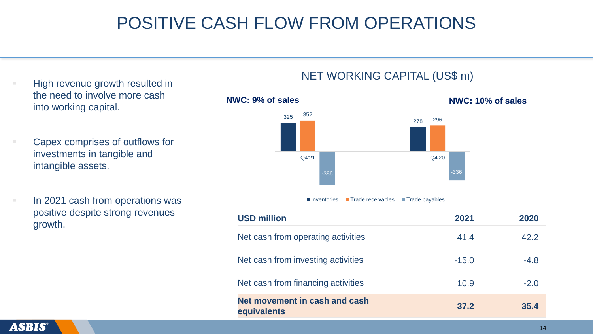## POSITIVE CASH FLOW FROM OPERATIONS

- High revenue growth resulted in the need to involve more cash into working capital.
- Capex comprises of outflows for investments in tangible and intangible assets.
- In 2021 cash from operations was positive despite strong revenues growth.



■ Inventories ■ Trade receivables ■ Trade payables

| <b>USD million</b>                           | 2021    | 2020   |
|----------------------------------------------|---------|--------|
| Net cash from operating activities           | 41.4    | 42.2   |
| Net cash from investing activities           | $-15.0$ | $-4.8$ |
| Net cash from financing activities           | 10.9    | $-2.0$ |
| Net movement in cash and cash<br>equivalents | 37.2    | 35.4   |

#### NET WORKING CAPITAL (US\$ m)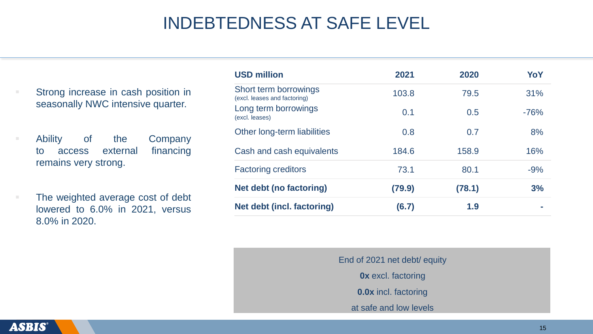## INDEBTEDNESS AT SAFE LEVEL

Strong increase in cash position in seasonally NWC intensive quarter.

Ability of the Company to access external financing remains very strong.

The weighted average cost of debt lowered to 6.0% in 2021, versus 8.0% in 2020.

| <b>USD million</b>                                    | 2021   | 2020   | YoY    |
|-------------------------------------------------------|--------|--------|--------|
| Short term borrowings<br>(excl. leases and factoring) | 103.8  | 79.5   | 31%    |
| Long term borrowings<br>(excl. leases)                | 0.1    | 0.5    | $-76%$ |
| Other long-term liabilities                           | 0.8    | 0.7    | 8%     |
| Cash and cash equivalents                             | 184.6  | 158.9  | 16%    |
| <b>Factoring creditors</b>                            | 73.1   | 80.1   | $-9%$  |
| Net debt (no factoring)                               | (79.9) | (78.1) | 3%     |
| <b>Net debt (incl. factoring)</b>                     | (6.7)  | 1.9    |        |

End of 2021 net debt/ equity **0x** excl. factoring **0.0x** incl. factoring

at safe and low levels

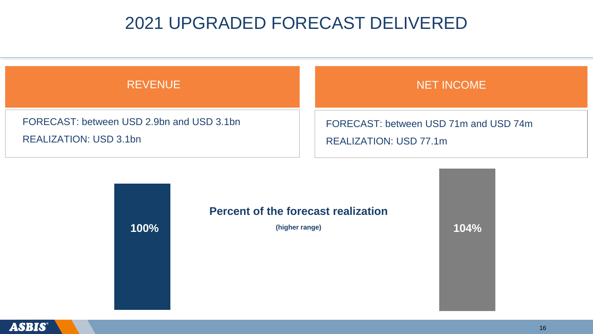#### 2021 UPGRADED FORECAST DELIVERED

| <b>REVENUE</b>                            | <b>NET INCOME</b>                     |
|-------------------------------------------|---------------------------------------|
| FORECAST: between USD 2.9bn and USD 3.1bn | FORECAST: between USD 71m and USD 74m |
| REALIZATION: USD 3.1bn                    | REALIZATION: USD 77.1m                |

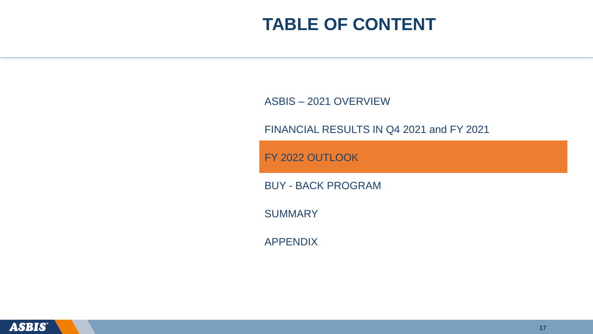ASBIS – 2021 OVERVIEW

FINANCIAL RESULTS IN Q4 2021 and FY 2021

FY 2022 OUTLOOK

BUY - BACK PROGRAM

**SUMMARY** 

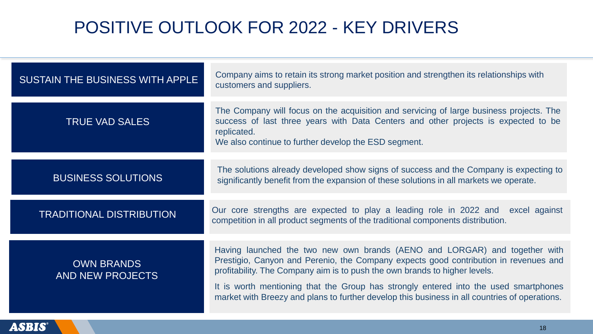## POSITIVE OUTLOOK FOR 2022 - KEY DRIVERS

| SUSTAIN THE BUSINESS WITH APPLE              | Company aims to retain its strong market position and strengthen its relationships with<br>customers and suppliers.                                                                                                                                                                                                                                                                                                                       |
|----------------------------------------------|-------------------------------------------------------------------------------------------------------------------------------------------------------------------------------------------------------------------------------------------------------------------------------------------------------------------------------------------------------------------------------------------------------------------------------------------|
| <b>TRUE VAD SALES</b>                        | The Company will focus on the acquisition and servicing of large business projects. The<br>success of last three years with Data Centers and other projects is expected to be<br>replicated.<br>We also continue to further develop the ESD segment.                                                                                                                                                                                      |
| <b>BUSINESS SOLUTIONS</b>                    | The solutions already developed show signs of success and the Company is expecting to<br>significantly benefit from the expansion of these solutions in all markets we operate.                                                                                                                                                                                                                                                           |
| <b>TRADITIONAL DISTRIBUTION</b>              | Our core strengths are expected to play a leading role in 2022 and excel against<br>competition in all product segments of the traditional components distribution.                                                                                                                                                                                                                                                                       |
| <b>OWN BRANDS</b><br><b>AND NEW PROJECTS</b> | Having launched the two new own brands (AENO and LORGAR) and together with<br>Prestigio, Canyon and Perenio, the Company expects good contribution in revenues and<br>profitability. The Company aim is to push the own brands to higher levels.<br>It is worth mentioning that the Group has strongly entered into the used smartphones<br>market with Breezy and plans to further develop this business in all countries of operations. |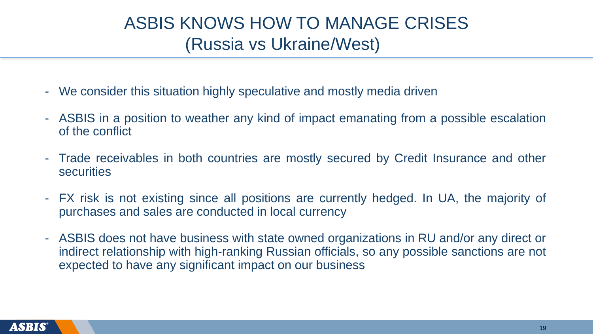## ASBIS KNOWS HOW TO MANAGE CRISES (Russia vs Ukraine/West)

- We consider this situation highly speculative and mostly media driven
- ASBIS in a position to weather any kind of impact emanating from a possible escalation of the conflict
- Trade receivables in both countries are mostly secured by Credit Insurance and other **securities**
- FX risk is not existing since all positions are currently hedged. In UA, the majority of purchases and sales are conducted in local currency
- ASBIS does not have business with state owned organizations in RU and/or any direct or indirect relationship with high-ranking Russian officials, so any possible sanctions are not expected to have any significant impact on our business

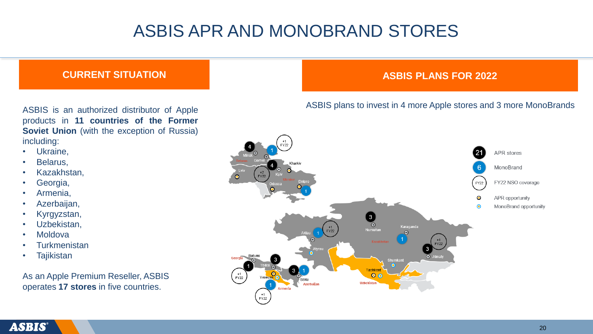# ASBIS APR AND MONOBRAND STORES

ASBIS is an authorized distributor of Apple products in **11 countries of the Former Soviet Union** (with the exception of Russia) including:

- Ukraine,
- Belarus,
- Kazakhstan,
- Georgia,
- Armenia,
- Azerbaijan,
- Kyrgyzstan,
- Uzbekistan,
- **Moldova**
- **Turkmenistan**
- **Tajikistan**

As an Apple Premium Reseller, ASBIS operates **17 stores** in five countries.

#### **CURRENT SITUATION ASBIS PLANS FOR 2022**

#### ASBIS plans to invest in 4 more Apple stores and 3 more MonoBrands



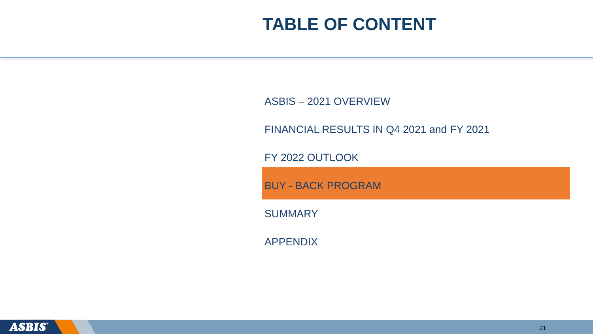ASBIS – 2021 OVERVIEW

FINANCIAL RESULTS IN Q4 2021 and FY 2021

FY 2022 OUTLOOK

BUY - BACK PROGRAM

**SUMMARY** 

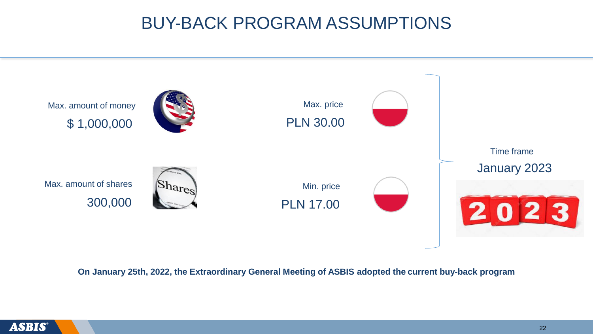#### BUY-BACK PROGRAM ASSUMPTIONS



**On January 25th, 2022, the Extraordinary General Meeting of ASBIS adopted the current buy-back program**

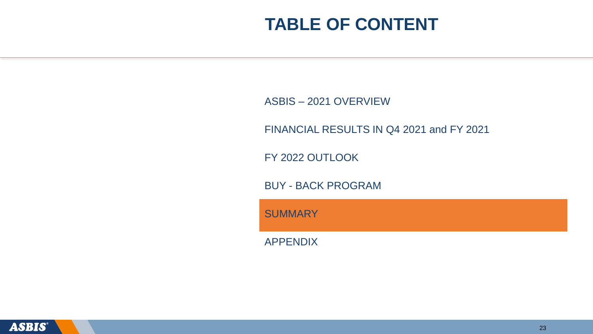ASBIS – 2021 OVERVIEW

FINANCIAL RESULTS IN Q4 2021 and FY 2021

FY 2022 OUTLOOK

BUY - BACK PROGRAM

**SUMMARY** 

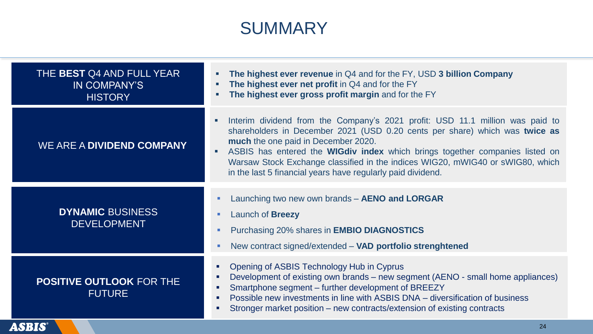#### SUMMARY

| THE BEST Q4 AND FULL YEAR<br>IN COMPANY'S<br><b>HISTORY</b> | The highest ever revenue in Q4 and for the FY, USD 3 billion Company<br>The highest ever net profit in Q4 and for the FY<br>The highest ever gross profit margin and for the FY                                                                                                                                                                                                                                                             |
|-------------------------------------------------------------|---------------------------------------------------------------------------------------------------------------------------------------------------------------------------------------------------------------------------------------------------------------------------------------------------------------------------------------------------------------------------------------------------------------------------------------------|
| WE ARE A DIVIDEND COMPANY                                   | Interim dividend from the Company's 2021 profit: USD 11.1 million was paid to<br>shareholders in December 2021 (USD 0.20 cents per share) which was twice as<br>much the one paid in December 2020.<br>ASBIS has entered the <b>WIGdiv index</b> which brings together companies listed on<br>Warsaw Stock Exchange classified in the indices WIG20, mWIG40 or sWIG80, which<br>in the last 5 financial years have regularly paid dividend. |
| <b>DYNAMIC BUSINESS</b><br><b>DEVELOPMENT</b>               | Launching two new own brands - AENO and LORGAR<br>$\blacksquare$<br>Launch of <b>Breezy</b><br>п<br>Purchasing 20% shares in <b>EMBIO DIAGNOSTICS</b><br>$\blacksquare$<br>New contract signed/extended - VAD portfolio strenghtened<br>ш                                                                                                                                                                                                   |
| <b>POSITIVE OUTLOOK FOR THE</b><br><b>FUTURE</b>            | Opening of ASBIS Technology Hub in Cyprus<br>π.<br>Development of existing own brands – new segment (AENO - small home appliances)<br>٠<br>Smartphone segment - further development of BREEZY<br>٠<br>Possible new investments in line with ASBIS DNA – diversification of business<br>٠<br>Stronger market position – new contracts/extension of existing contracts<br>٠                                                                   |

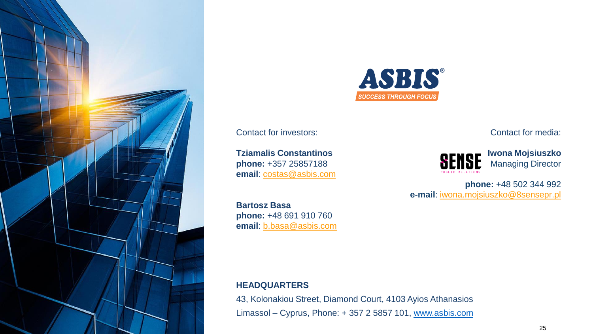



Contact for investors:

**Tziamalis Constantinos phone:** +357 25857188 **email**: [costas@asbis.com](mailto:costas@asbis.com)

**Bartosz Basa phone:** +48 691 910 760 **email**: [b.basa@asbis.com](mailto:b.basa@asbis.com) Contact for media:



**Iwona Mojsiuszko** Managing Director

**phone:** +48 502 344 992 **e-mail**: [iwona.mojsiuszko@8sensepr.pl](mailto:iwona.mojsiuszko@8sensepr.pl)

#### **HEADQUARTERS**

43, Kolonakiou Street, Diamond Court, 4103 Ayios Athanasios Limassol – Cyprus, Phone: + 357 2 5857 101, [www.asbis.com](http://www.asbis.com/)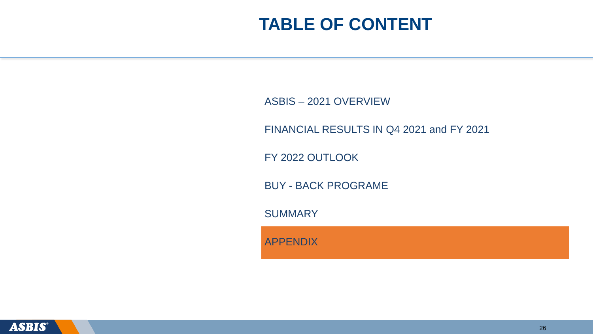ASBIS – 2021 OVERVIEW

FINANCIAL RESULTS IN Q4 2021 and FY 2021

FY 2022 OUTLOOK

BUY - BACK PROGRAME

**SUMMARY** 

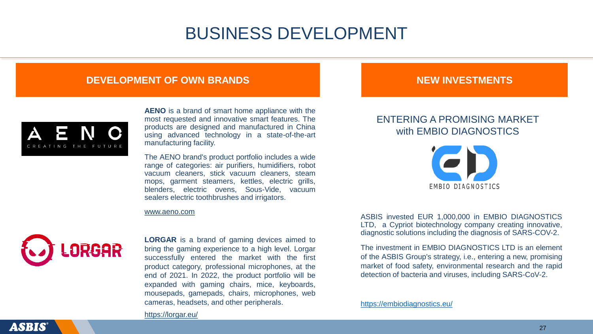#### BUSINESS DEVELOPMENT

#### **DEVELOPMENT OF OWN BRANDS NEW INVESTMENTS**



**AENO** is a brand of smart home appliance with the most requested and innovative smart features. The products are designed and manufactured in China using advanced technology in a state-of-the-art manufacturing facility.

The AENO brand's product portfolio includes a wide range of categories: air purifiers, humidifiers, robot vacuum cleaners, stick vacuum cleaners, steam mops, garment steamers, kettles, electric grills, blenders, electric ovens, Sous-Vide, vacuum sealers electric toothbrushes and irrigators.



**LORGAR** is a brand of gaming devices aimed to bring the gaming experience to a high level. Lorgar successfully entered the market with the first product category, professional microphones, at the end of 2021. In 2022, the product portfolio will be expanded with gaming chairs, mice, keyboards, mousepads, gamepads, chairs, microphones, web cameras, headsets, and other peripherals.

#### ENTERING A PROMISING MARKET with EMBIO DIAGNOSTICS



[www.aeno.com](http://www.aeno.com/) Music enterprise of the ASBIS invested EUR 1,000,000 in EMBIO DIAGNOSTICS LTD, a Cypriot biotechnology company creating innovative, diagnostic solutions including the diagnosis of SARS-COV-2.

> The investment in EMBIO DIAGNOSTICS LTD is an element of the ASBIS Group's strategy, i.e., entering a new, promising market of food safety, environmental research and the rapid detection of bacteria and viruses, including SARS-CoV-2.

#### <https://embiodiagnostics.eu/>

#### <https://lorgar.eu/>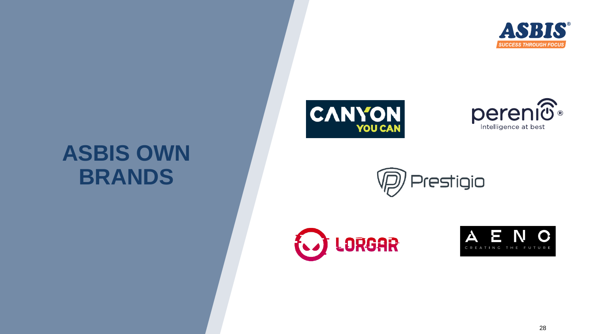

# **ASBIS OWN BRANDS**









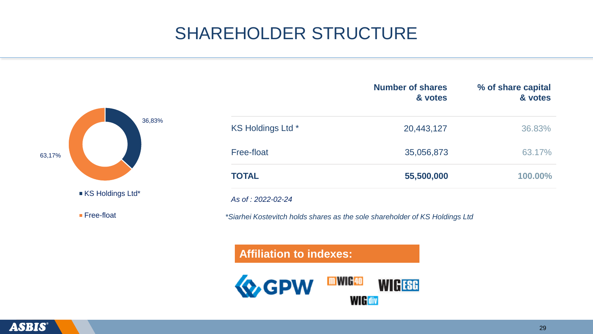# SHAREHOLDER STRUCTURE



|                   | <b>Number of shares</b><br>& votes                                          | % of share capital<br>& votes |
|-------------------|-----------------------------------------------------------------------------|-------------------------------|
| KS Holdings Ltd * | 20,443,127                                                                  | 36.83%                        |
| Free-float        | 35,056,873                                                                  | 63.17%                        |
| <b>TOTAL</b>      | 55,500,000                                                                  | 100.00%                       |
| As of: 2022-02-24 |                                                                             |                               |
|                   | *Siarhei Kostevitch holds shares as the sole shareholder of KS Holdings Ltd |                               |

#### **Affiliation to indexes:**